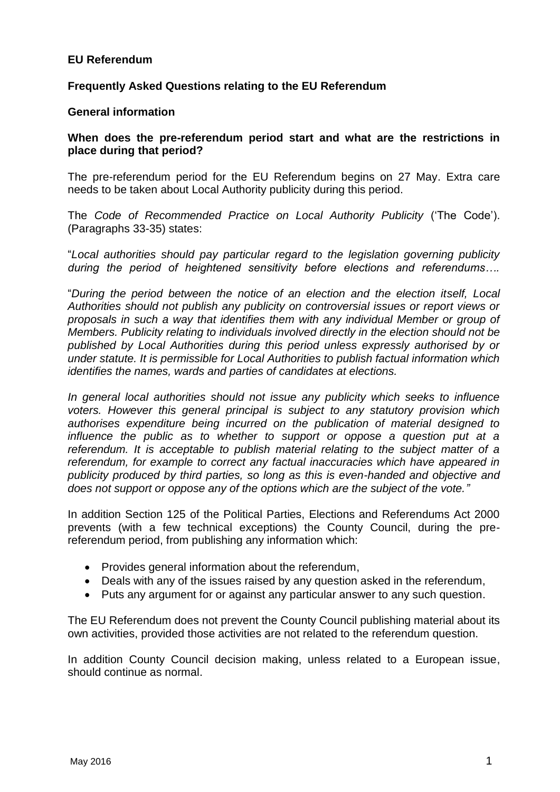## **EU Referendum**

## **Frequently Asked Questions relating to the EU Referendum**

#### **General information**

#### **When does the pre-referendum period start and what are the restrictions in place during that period?**

The pre-referendum period for the EU Referendum begins on 27 May. Extra care needs to be taken about Local Authority publicity during this period.

The *Code of Recommended Practice on Local Authority Publicity* ('The Code'). (Paragraphs 33-35) states:

"*Local authorities should pay particular regard to the legislation governing publicity during the period of heightened sensitivity before elections and referendums….*

"*During the period between the notice of an election and the election itself, Local Authorities should not publish any publicity on controversial issues or report views or proposals in such a way that identifies them with any individual Member or group of Members. Publicity relating to individuals involved directly in the election should not be published by Local Authorities during this period unless expressly authorised by or under statute. It is permissible for Local Authorities to publish factual information which identifies the names, wards and parties of candidates at elections.*

*In general local authorities should not issue any publicity which seeks to influence voters. However this general principal is subject to any statutory provision which authorises expenditure being incurred on the publication of material designed to influence the public as to whether to support or oppose a question put at a referendum. It is acceptable to publish material relating to the subject matter of a referendum, for example to correct any factual inaccuracies which have appeared in publicity produced by third parties, so long as this is even-handed and objective and does not support or oppose any of the options which are the subject of the vote."*

In addition Section 125 of the Political Parties, Elections and Referendums Act 2000 prevents (with a few technical exceptions) the County Council, during the prereferendum period, from publishing any information which:

- Provides general information about the referendum,
- Deals with any of the issues raised by any question asked in the referendum,
- Puts any argument for or against any particular answer to any such question.

The EU Referendum does not prevent the County Council publishing material about its own activities, provided those activities are not related to the referendum question.

In addition County Council decision making, unless related to a European issue, should continue as normal.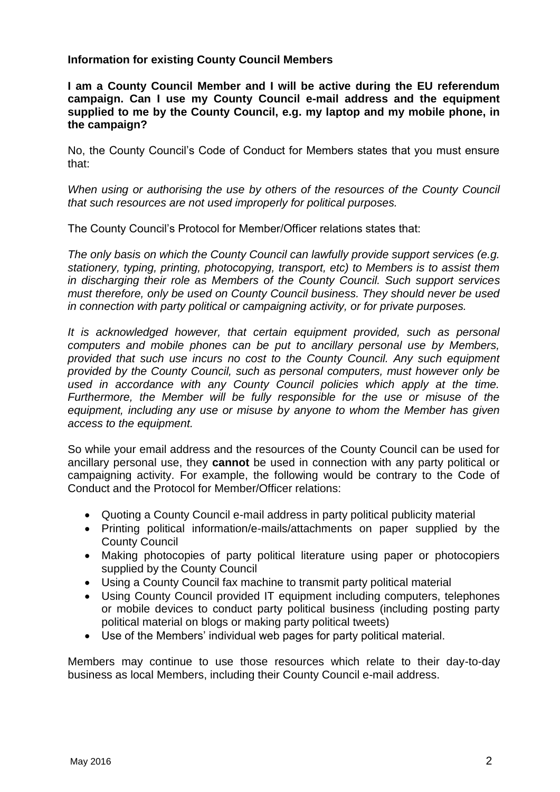## **Information for existing County Council Members**

**I am a County Council Member and I will be active during the EU referendum campaign. Can I use my County Council e-mail address and the equipment supplied to me by the County Council, e.g. my laptop and my mobile phone, in the campaign?** 

No, the County Council's Code of Conduct for Members states that you must ensure that:

*When using or authorising the use by others of the resources of the County Council that such resources are not used improperly for political purposes.* 

The County Council's Protocol for Member/Officer relations states that:

*The only basis on which the County Council can lawfully provide support services (e.g. stationery, typing, printing, photocopying, transport, etc) to Members is to assist them in discharging their role as Members of the County Council. Such support services must therefore, only be used on County Council business. They should never be used in connection with party political or campaigning activity, or for private purposes.*

*It is acknowledged however, that certain equipment provided, such as personal computers and mobile phones can be put to ancillary personal use by Members, provided that such use incurs no cost to the County Council. Any such equipment provided by the County Council, such as personal computers, must however only be*  used in accordance with any County Council policies which apply at the time. *Furthermore, the Member will be fully responsible for the use or misuse of the equipment, including any use or misuse by anyone to whom the Member has given access to the equipment.* 

So while your email address and the resources of the County Council can be used for ancillary personal use, they **cannot** be used in connection with any party political or campaigning activity. For example, the following would be contrary to the Code of Conduct and the Protocol for Member/Officer relations:

- Quoting a County Council e-mail address in party political publicity material
- Printing political information/e-mails/attachments on paper supplied by the County Council
- Making photocopies of party political literature using paper or photocopiers supplied by the County Council
- Using a County Council fax machine to transmit party political material
- Using County Council provided IT equipment including computers, telephones or mobile devices to conduct party political business (including posting party political material on blogs or making party political tweets)
- Use of the Members' individual web pages for party political material.

Members may continue to use those resources which relate to their day-to-day business as local Members, including their County Council e-mail address.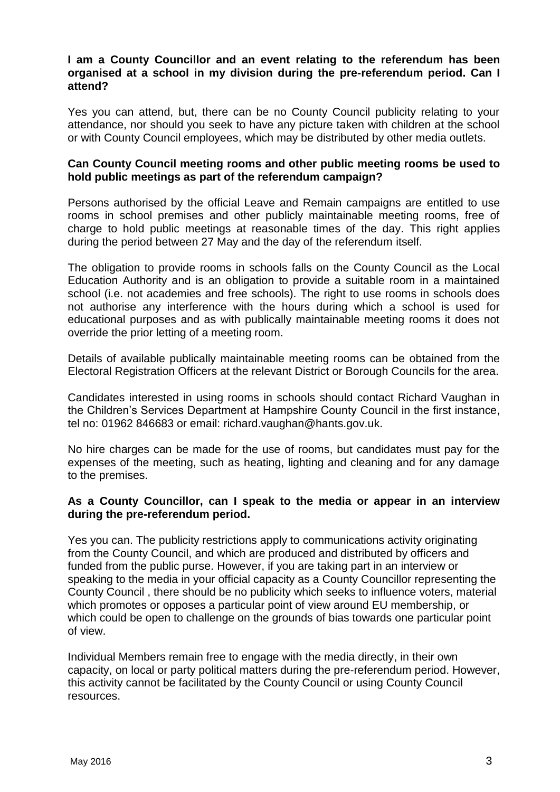## **I am a County Councillor and an event relating to the referendum has been organised at a school in my division during the pre-referendum period. Can I attend?**

Yes you can attend, but, there can be no County Council publicity relating to your attendance, nor should you seek to have any picture taken with children at the school or with County Council employees, which may be distributed by other media outlets.

#### **Can County Council meeting rooms and other public meeting rooms be used to hold public meetings as part of the referendum campaign?**

Persons authorised by the official Leave and Remain campaigns are entitled to use rooms in school premises and other publicly maintainable meeting rooms, free of charge to hold public meetings at reasonable times of the day. This right applies during the period between 27 May and the day of the referendum itself.

The obligation to provide rooms in schools falls on the County Council as the Local Education Authority and is an obligation to provide a suitable room in a maintained school (i.e. not academies and free schools). The right to use rooms in schools does not authorise any interference with the hours during which a school is used for educational purposes and as with publically maintainable meeting rooms it does not override the prior letting of a meeting room.

Details of available publically maintainable meeting rooms can be obtained from the Electoral Registration Officers at the relevant District or Borough Councils for the area.

Candidates interested in using rooms in schools should contact Richard Vaughan in the Children's Services Department at Hampshire County Council in the first instance, tel no: 01962 846683 or email: richard.vaughan@hants.gov.uk.

No hire charges can be made for the use of rooms, but candidates must pay for the expenses of the meeting, such as heating, lighting and cleaning and for any damage to the premises.

## **As a County Councillor, can I speak to the media or appear in an interview during the pre-referendum period.**

Yes you can. The publicity restrictions apply to communications activity originating from the County Council, and which are produced and distributed by officers and funded from the public purse. However, if you are taking part in an interview or speaking to the media in your official capacity as a County Councillor representing the County Council , there should be no publicity which seeks to influence voters, material which promotes or opposes a particular point of view around EU membership, or which could be open to challenge on the grounds of bias towards one particular point of view.

Individual Members remain free to engage with the media directly, in their own capacity, on local or party political matters during the pre-referendum period. However, this activity cannot be facilitated by the County Council or using County Council resources.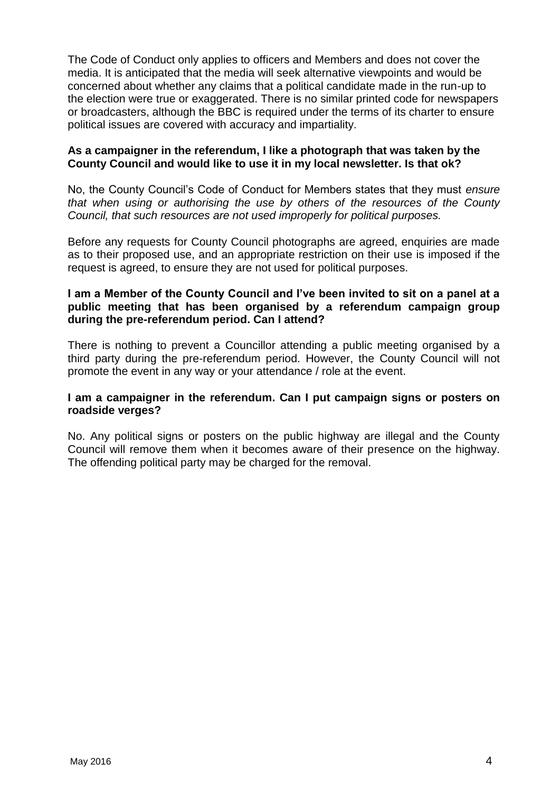The Code of Conduct only applies to officers and Members and does not cover the media. It is anticipated that the media will seek alternative viewpoints and would be concerned about whether any claims that a political candidate made in the run-up to the election were true or exaggerated. There is no similar printed code for newspapers or broadcasters, although the BBC is required under the terms of its charter to ensure political issues are covered with accuracy and impartiality.

# **As a campaigner in the referendum, I like a photograph that was taken by the County Council and would like to use it in my local newsletter. Is that ok?**

No, the County Council's Code of Conduct for Members states that they must *ensure that when using or authorising the use by others of the resources of the County Council, that such resources are not used improperly for political purposes.* 

Before any requests for County Council photographs are agreed, enquiries are made as to their proposed use, and an appropriate restriction on their use is imposed if the request is agreed, to ensure they are not used for political purposes.

## **I am a Member of the County Council and I've been invited to sit on a panel at a public meeting that has been organised by a referendum campaign group during the pre-referendum period. Can I attend?**

There is nothing to prevent a Councillor attending a public meeting organised by a third party during the pre-referendum period. However, the County Council will not promote the event in any way or your attendance / role at the event.

## **I am a campaigner in the referendum. Can I put campaign signs or posters on roadside verges?**

No. Any political signs or posters on the public highway are illegal and the County Council will remove them when it becomes aware of their presence on the highway. The offending political party may be charged for the removal.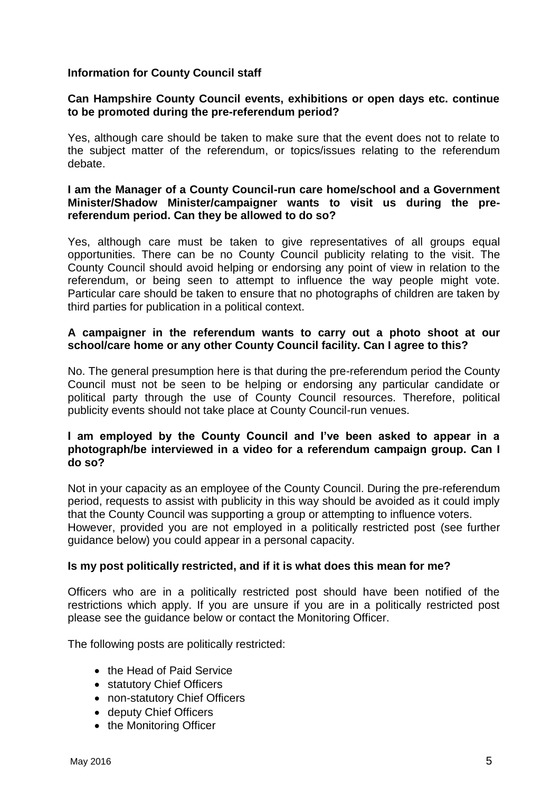# **Information for County Council staff**

#### **Can Hampshire County Council events, exhibitions or open days etc. continue to be promoted during the pre-referendum period?**

Yes, although care should be taken to make sure that the event does not to relate to the subject matter of the referendum, or topics/issues relating to the referendum debate.

#### **I am the Manager of a County Council-run care home/school and a Government Minister/Shadow Minister/campaigner wants to visit us during the prereferendum period. Can they be allowed to do so?**

Yes, although care must be taken to give representatives of all groups equal opportunities. There can be no County Council publicity relating to the visit. The County Council should avoid helping or endorsing any point of view in relation to the referendum, or being seen to attempt to influence the way people might vote. Particular care should be taken to ensure that no photographs of children are taken by third parties for publication in a political context.

#### **A campaigner in the referendum wants to carry out a photo shoot at our school/care home or any other County Council facility. Can I agree to this?**

No. The general presumption here is that during the pre-referendum period the County Council must not be seen to be helping or endorsing any particular candidate or political party through the use of County Council resources. Therefore, political publicity events should not take place at County Council-run venues.

#### **I am employed by the County Council and I've been asked to appear in a photograph/be interviewed in a video for a referendum campaign group. Can I do so?**

Not in your capacity as an employee of the County Council. During the pre-referendum period, requests to assist with publicity in this way should be avoided as it could imply that the County Council was supporting a group or attempting to influence voters. However, provided you are not employed in a politically restricted post (see further guidance below) you could appear in a personal capacity.

## **Is my post politically restricted, and if it is what does this mean for me?**

Officers who are in a politically restricted post should have been notified of the restrictions which apply. If you are unsure if you are in a politically restricted post please see the guidance below or contact the Monitoring Officer.

The following posts are politically restricted:

- the Head of Paid Service
- statutory Chief Officers
- non-statutory Chief Officers
- deputy Chief Officers
- the Monitoring Officer